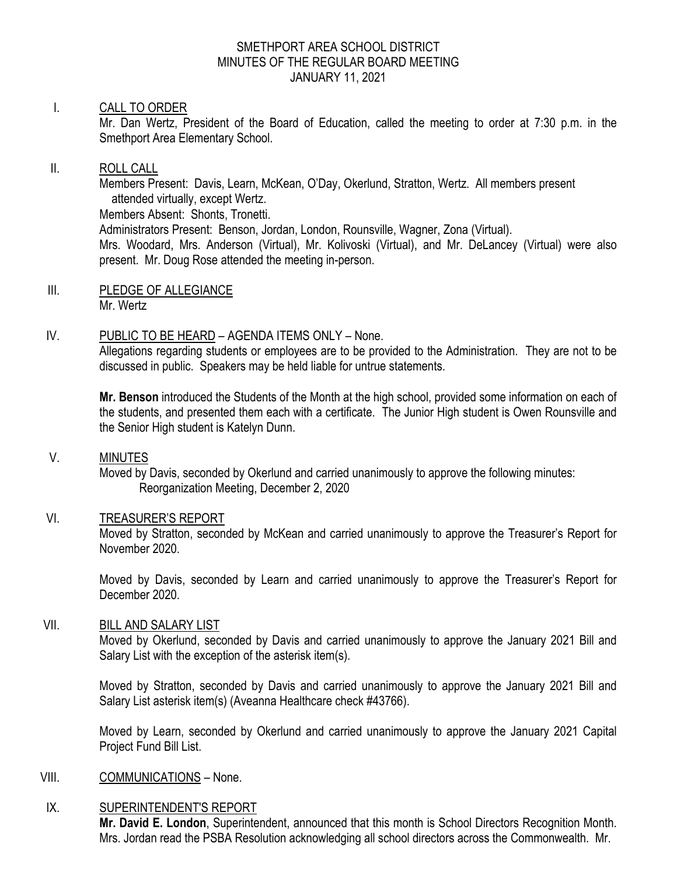#### SMETHPORT AREA SCHOOL DISTRICT MINUTES OF THE REGULAR BOARD MEETING JANUARY 11, 2021

## I. CALL TO ORDER

Mr. Dan Wertz, President of the Board of Education, called the meeting to order at 7:30 p.m. in the Smethport Area Elementary School.

#### II. ROLL CALL

Members Present: Davis, Learn, McKean, O'Day, Okerlund, Stratton, Wertz. All members present attended virtually, except Wertz.

Members Absent: Shonts, Tronetti.

Administrators Present: Benson, Jordan, London, Rounsville, Wagner, Zona (Virtual).

Mrs. Woodard, Mrs. Anderson (Virtual), Mr. Kolivoski (Virtual), and Mr. DeLancey (Virtual) were also present. Mr. Doug Rose attended the meeting in-person.

III. PLEDGE OF ALLEGIANCE Mr. Wertz

# IV. PUBLIC TO BE HEARD – AGENDA ITEMS ONLY – None.

Allegations regarding students or employees are to be provided to the Administration. They are not to be discussed in public. Speakers may be held liable for untrue statements.

**Mr. Benson** introduced the Students of the Month at the high school, provided some information on each of the students, and presented them each with a certificate. The Junior High student is Owen Rounsville and the Senior High student is Katelyn Dunn.

#### V. MINUTES

Moved by Davis, seconded by Okerlund and carried unanimously to approve the following minutes: Reorganization Meeting, December 2, 2020

# VI. TREASURER'S REPORT

Moved by Stratton, seconded by McKean and carried unanimously to approve the Treasurer's Report for November 2020.

Moved by Davis, seconded by Learn and carried unanimously to approve the Treasurer's Report for December 2020.

# VII. BILL AND SALARY LIST

Moved by Okerlund, seconded by Davis and carried unanimously to approve the January 2021 Bill and Salary List with the exception of the asterisk item(s).

Moved by Stratton, seconded by Davis and carried unanimously to approve the January 2021 Bill and Salary List asterisk item(s) (Aveanna Healthcare check #43766).

Moved by Learn, seconded by Okerlund and carried unanimously to approve the January 2021 Capital Project Fund Bill List.

#### VIII. COMMUNICATIONS – None.

#### IX. SUPERINTENDENT'S REPORT

**Mr. David E. London**, Superintendent, announced that this month is School Directors Recognition Month. Mrs. Jordan read the PSBA Resolution acknowledging all school directors across the Commonwealth. Mr.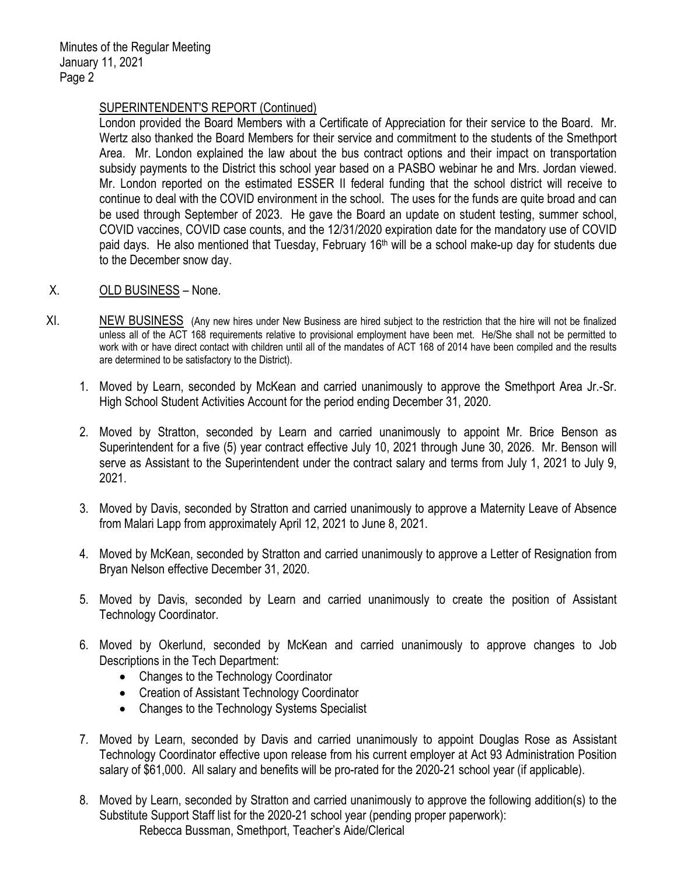## SUPERINTENDENT'S REPORT (Continued)

London provided the Board Members with a Certificate of Appreciation for their service to the Board. Mr. Wertz also thanked the Board Members for their service and commitment to the students of the Smethport Area. Mr. London explained the law about the bus contract options and their impact on transportation subsidy payments to the District this school year based on a PASBO webinar he and Mrs. Jordan viewed. Mr. London reported on the estimated ESSER II federal funding that the school district will receive to continue to deal with the COVID environment in the school. The uses for the funds are quite broad and can be used through September of 2023. He gave the Board an update on student testing, summer school, COVID vaccines, COVID case counts, and the 12/31/2020 expiration date for the mandatory use of COVID paid days. He also mentioned that Tuesday, February 16<sup>th</sup> will be a school make-up day for students due to the December snow day.

- X. OLD BUSINESS None.
- XI. NEW BUSINESS (Any new hires under New Business are hired subject to the restriction that the hire will not be finalized unless all of the ACT 168 requirements relative to provisional employment have been met. He/She shall not be permitted to work with or have direct contact with children until all of the mandates of ACT 168 of 2014 have been compiled and the results are determined to be satisfactory to the District).
	- 1. Moved by Learn, seconded by McKean and carried unanimously to approve the Smethport Area Jr.-Sr. High School Student Activities Account for the period ending December 31, 2020.
	- 2. Moved by Stratton, seconded by Learn and carried unanimously to appoint Mr. Brice Benson as Superintendent for a five (5) year contract effective July 10, 2021 through June 30, 2026. Mr. Benson will serve as Assistant to the Superintendent under the contract salary and terms from July 1, 2021 to July 9, 2021.
	- 3. Moved by Davis, seconded by Stratton and carried unanimously to approve a Maternity Leave of Absence from Malari Lapp from approximately April 12, 2021 to June 8, 2021.
	- 4. Moved by McKean, seconded by Stratton and carried unanimously to approve a Letter of Resignation from Bryan Nelson effective December 31, 2020.
	- 5. Moved by Davis, seconded by Learn and carried unanimously to create the position of Assistant Technology Coordinator.
	- 6. Moved by Okerlund, seconded by McKean and carried unanimously to approve changes to Job Descriptions in the Tech Department:
		- Changes to the Technology Coordinator
		- Creation of Assistant Technology Coordinator
		- Changes to the Technology Systems Specialist
	- 7. Moved by Learn, seconded by Davis and carried unanimously to appoint Douglas Rose as Assistant Technology Coordinator effective upon release from his current employer at Act 93 Administration Position salary of \$61,000. All salary and benefits will be pro-rated for the 2020-21 school year (if applicable).
	- 8. Moved by Learn, seconded by Stratton and carried unanimously to approve the following addition(s) to the Substitute Support Staff list for the 2020-21 school year (pending proper paperwork): Rebecca Bussman, Smethport, Teacher's Aide/Clerical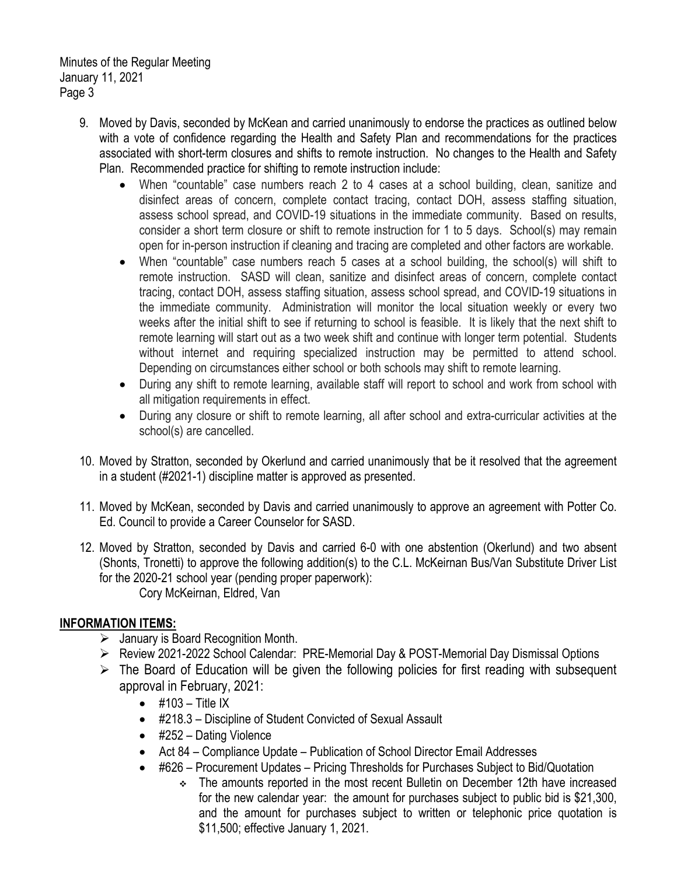Minutes of the Regular Meeting January 11, 2021 Page 3

- 9. Moved by Davis, seconded by McKean and carried unanimously to endorse the practices as outlined below with a vote of confidence regarding the Health and Safety Plan and recommendations for the practices associated with short-term closures and shifts to remote instruction. No changes to the Health and Safety Plan. Recommended practice for shifting to remote instruction include:
	- When "countable" case numbers reach 2 to 4 cases at a school building, clean, sanitize and disinfect areas of concern, complete contact tracing, contact DOH, assess staffing situation, assess school spread, and COVID-19 situations in the immediate community. Based on results, consider a short term closure or shift to remote instruction for 1 to 5 days. School(s) may remain open for in-person instruction if cleaning and tracing are completed and other factors are workable.
	- When "countable" case numbers reach 5 cases at a school building, the school(s) will shift to remote instruction. SASD will clean, sanitize and disinfect areas of concern, complete contact tracing, contact DOH, assess staffing situation, assess school spread, and COVID-19 situations in the immediate community. Administration will monitor the local situation weekly or every two weeks after the initial shift to see if returning to school is feasible. It is likely that the next shift to remote learning will start out as a two week shift and continue with longer term potential. Students without internet and requiring specialized instruction may be permitted to attend school. Depending on circumstances either school or both schools may shift to remote learning.
	- During any shift to remote learning, available staff will report to school and work from school with all mitigation requirements in effect.
	- During any closure or shift to remote learning, all after school and extra-curricular activities at the school(s) are cancelled.
- 10. Moved by Stratton, seconded by Okerlund and carried unanimously that be it resolved that the agreement in a student (#2021-1) discipline matter is approved as presented.
- 11. Moved by McKean, seconded by Davis and carried unanimously to approve an agreement with Potter Co. Ed. Council to provide a Career Counselor for SASD.
- 12. Moved by Stratton, seconded by Davis and carried 6-0 with one abstention (Okerlund) and two absent (Shonts, Tronetti) to approve the following addition(s) to the C.L. McKeirnan Bus/Van Substitute Driver List for the 2020-21 school year (pending proper paperwork): Cory McKeirnan, Eldred, Van

# **INFORMATION ITEMS:**

- $\triangleright$  January is Board Recognition Month.
- Review 2021-2022 School Calendar: PRE-Memorial Day & POST-Memorial Day Dismissal Options
- $\triangleright$  The Board of Education will be given the following policies for first reading with subsequent approval in February, 2021:
	- $\bullet$  #103 Title IX
	- #218.3 Discipline of Student Convicted of Sexual Assault
	- #252 Dating Violence
	- Act 84 Compliance Update Publication of School Director Email Addresses
	- #626 Procurement Updates Pricing Thresholds for Purchases Subject to Bid/Quotation
		- The amounts reported in the most recent Bulletin on December 12th have increased for the new calendar year: the amount for purchases subject to public bid is \$21,300, and the amount for purchases subject to written or telephonic price quotation is \$11,500; effective January 1, 2021.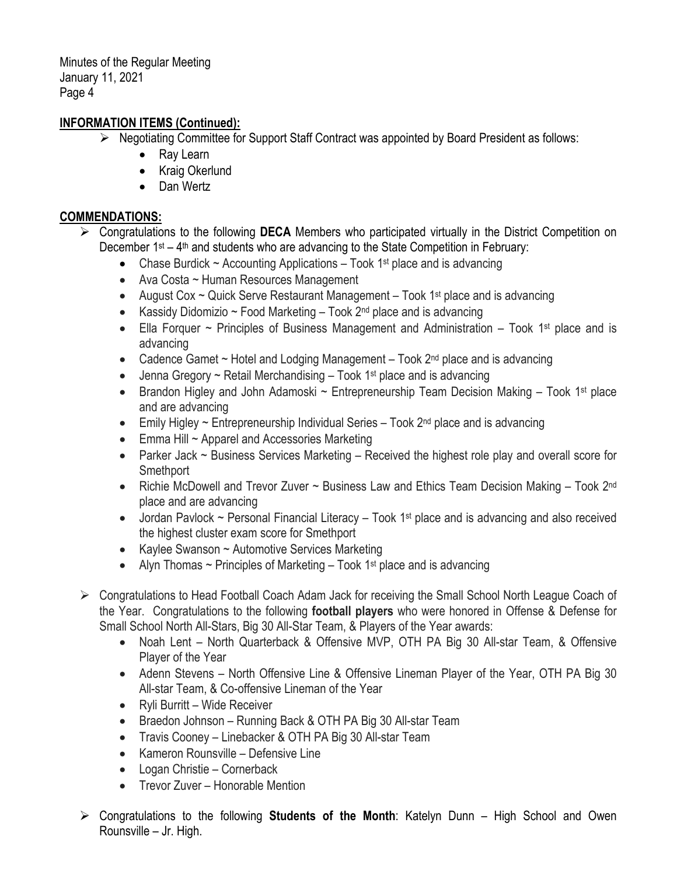Minutes of the Regular Meeting January 11, 2021 Page 4

# **INFORMATION ITEMS (Continued):**

- $\triangleright$  Negotiating Committee for Support Staff Contract was appointed by Board President as follows:
	- Ray Learn
	- Kraig Okerlund
	- Dan Wertz

#### **COMMENDATIONS:**

- Congratulations to the following **DECA** Members who participated virtually in the District Competition on December  $1^{st} - 4^{th}$  and students who are advancing to the State Competition in February:
	- Chase Burdick  $\sim$  Accounting Applications Took 1<sup>st</sup> place and is advancing
	- Ava Costa ~ Human Resources Management
	- August Cox  $\sim$  Quick Serve Restaurant Management Took 1<sup>st</sup> place and is advancing
	- Kassidy Didomizio ~ Food Marketing  $-$  Took 2<sup>nd</sup> place and is advancing
	- Ella Forquer  $\sim$  Principles of Business Management and Administration Took 1<sup>st</sup> place and is advancing
	- Cadence Gamet  $\sim$  Hotel and Lodging Management  $-$  Took  $2<sup>nd</sup>$  place and is advancing
	- Jenna Gregory  $\sim$  Retail Merchandising Took 1<sup>st</sup> place and is advancing
	- Brandon Higley and John Adamoski  $\sim$  Entrepreneurship Team Decision Making Took 1<sup>st</sup> place and are advancing
	- Emily Higley  $\sim$  Entrepreneurship Individual Series Took  $2^{nd}$  place and is advancing
	- Emma Hill ~ Apparel and Accessories Marketing
	- Parker Jack ~ Business Services Marketing Received the highest role play and overall score for Smethport
	- Richie McDowell and Trevor Zuver ~ Business Law and Ethics Team Decision Making Took 2<sup>nd</sup> place and are advancing
	- Jordan Pavlock  $\sim$  Personal Financial Literacy Took 1<sup>st</sup> place and is advancing and also received the highest cluster exam score for Smethport
	- Kaylee Swanson ~ Automotive Services Marketing
	- Alyn Thomas  $\sim$  Principles of Marketing Took 1<sup>st</sup> place and is advancing
- ▶ Congratulations to Head Football Coach Adam Jack for receiving the Small School North League Coach of the Year. Congratulations to the following **football players** who were honored in Offense & Defense for Small School North All-Stars, Big 30 All-Star Team, & Players of the Year awards:
	- Noah Lent North Quarterback & Offensive MVP, OTH PA Big 30 All-star Team, & Offensive Player of the Year
	- Adenn Stevens North Offensive Line & Offensive Lineman Player of the Year, OTH PA Big 30 All-star Team, & Co-offensive Lineman of the Year
	- Ryli Burritt Wide Receiver
	- Braedon Johnson Running Back & OTH PA Big 30 All-star Team
	- Travis Cooney Linebacker & OTH PA Big 30 All-star Team
	- Kameron Rounsville Defensive Line
	- Logan Christie Cornerback
	- Trevor Zuver Honorable Mention
- Congratulations to the following **Students of the Month**: Katelyn Dunn High School and Owen Rounsville – Jr. High.